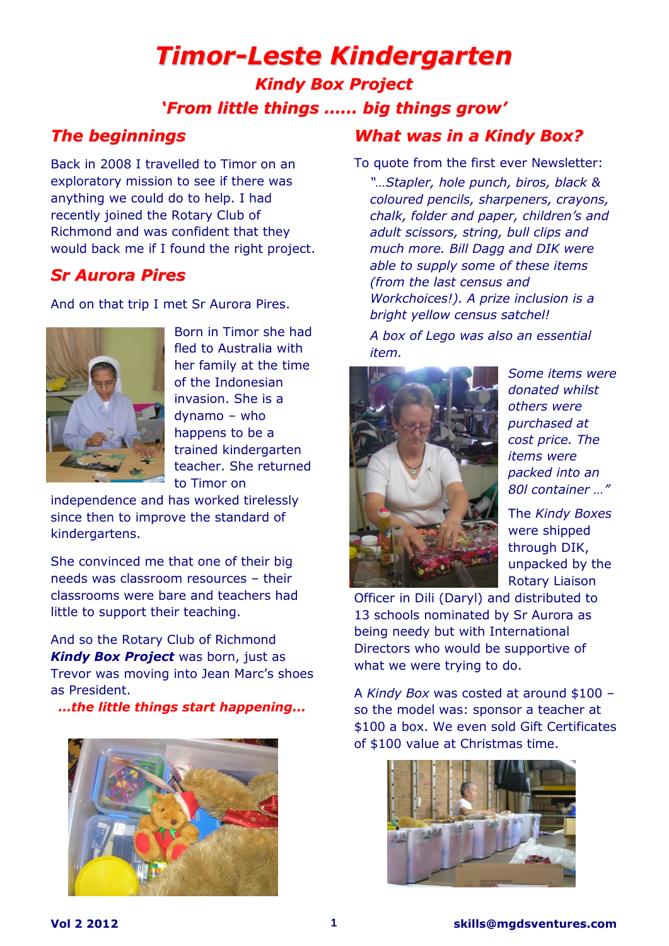# *Timor-Leste Kindergarten*

*Kindy Box Project 'From little things …… big things grow'*

### *The beginnings*

Back in 2008 I travelled to Timor on an exploratory mission to see if there was anything we could do to help. I had recently joined the Rotary Club of Richmond and was confident that they would back me if I found the right project.

## *Sr Aurora Pires*

And on that trip I met Sr Aurora Pires.



Born in Timor she had fled to Australia with her family at the time of the Indonesian invasion. She is a dynamo – who happens to be a trained kindergarten teacher. She returned to Timor on

independence and has worked tirelessly since then to improve the standard of kindergartens.

She convinced me that one of their big needs was classroom resources – their classrooms were bare and teachers had little to support their teaching.

And so the Rotary Club of Richmond **Kindy Box Project** was born, just as Trevor was moving into Jean Marc's shoes as President.

*…the little things start happening...*



## *What was in a Kindy Box?*

To quote from the first ever Newsletter:

*"…Stapler, hole punch, biros, black & coloured pencils, sharpeners, crayons, chalk, folder and paper, children's and adult scissors, string, bull clips and much more. Bill Dagg and DIK were able to supply some of these items (from the last census and Workchoices!). A prize inclusion is a bright yellow census satchel!* 

*A box of Lego was also an essential item.*



*Some items were donated whilst others were purchased at cost price. The items were packed into an 80l container …"*

The *Kindy Boxes* were shipped through DIK, unpacked by the Rotary Liaison

Officer in Dili (Daryl) and distributed to 13 schools nominated by Sr Aurora as being needy but with International Directors who would be supportive of what we were trying to do.

A *Kindy Box* was costed at around \$100 – so the model was: sponsor a teacher at \$100 a box. We even sold Gift Certificates of \$100 value at Christmas time.

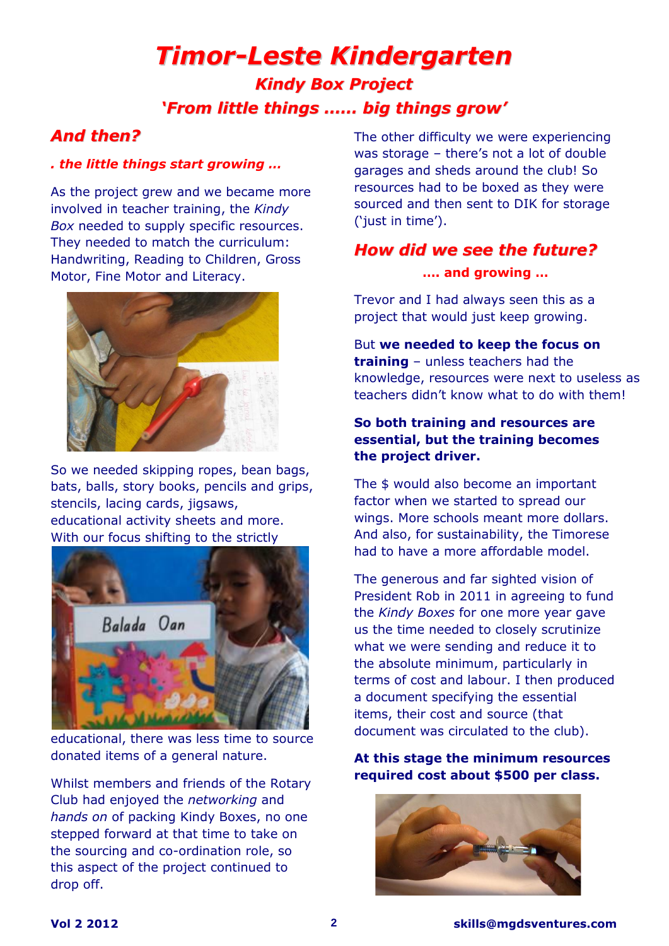# *Timor-Leste Kindergarten Kindy Box Project 'From little things …… big things grow'*

### *And then?*

#### *. the little things start growing …*

As the project grew and we became more involved in teacher training, the *Kindy Box* needed to supply specific resources. They needed to match the curriculum: Handwriting, Reading to Children, Gross Motor, Fine Motor and Literacy.



So we needed skipping ropes, bean bags, bats, balls, story books, pencils and grips, stencils, lacing cards, jigsaws, educational activity sheets and more. With our focus shifting to the strictly



educational, there was less time to source donated items of a general nature.

Whilst members and friends of the Rotary Club had enjoyed the *networking* and *hands on* of packing Kindy Boxes, no one stepped forward at that time to take on the sourcing and co-ordination role, so this aspect of the project continued to drop off.

The other difficulty we were experiencing was storage – there's not a lot of double garages and sheds around the club! So resources had to be boxed as they were sourced and then sent to DIK for storage ('just in time').

## *How did we see the future?*

#### **…. and growing …**

Trevor and I had always seen this as a project that would just keep growing.

But **we needed to keep the focus on training** – unless teachers had the knowledge, resources were next to useless as teachers didn't know what to do with them!

#### **So both training and resources are essential, but the training becomes the project driver.**

The \$ would also become an important factor when we started to spread our wings. More schools meant more dollars. And also, for sustainability, the Timorese had to have a more affordable model.

The generous and far sighted vision of President Rob in 2011 in agreeing to fund the *Kindy Boxes* for one more year gave us the time needed to closely scrutinize what we were sending and reduce it to the absolute minimum, particularly in terms of cost and labour. I then produced a document specifying the essential items, their cost and source (that document was circulated to the club).

#### **At this stage the minimum resources required cost about \$500 per class.**